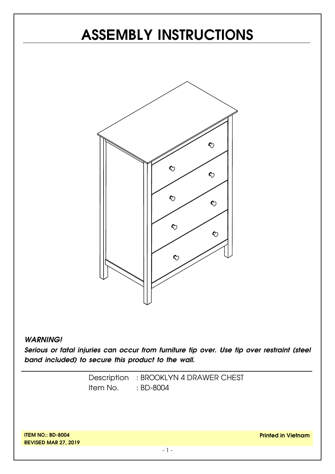# **ASSEMBLY INSTRUCTIONS**



#### *WARNING!*

*Serious or fatal injuries can occur from furniture tip over. Use tip over restraint (steel band included) to secure this product to the wall.*

> Description : BROOKLYN 4 DRAWER CHEST Item No. : BD-8004

**ITEM NO.: BD-8004 REVISED MAR 27, 2019**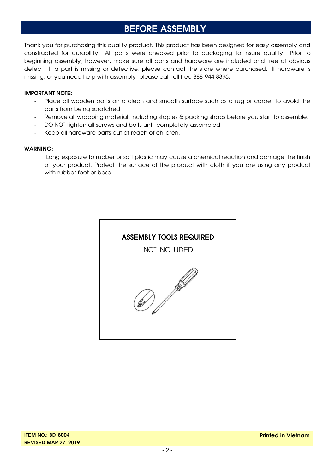### **BEFORE ASSEMBLY**

Thank you for purchasing this quality product. This product has been designed for easy assembly and constructed for durability. All parts were checked prior to packaging to insure quality. Prior to beginning assembly, however, make sure all parts and hardware are included and free of obvious defect. If a part is missing or defective, please contact the store where purchased. If hardware is missing, or you need help with assembly, please call toll free 888-944-8396.

#### **IMPORTANT NOTE:**

- Place all wooden parts on a clean and smooth surface such as a rug or carpet to avoid the parts from being scratched.
- Remove all wrapping material, including staples & packing straps before you start to assemble.
- DO NOT tighten all screws and bolts until completely assembled.
- Keep all hardware parts out of reach of children.

#### **WARNING:**

Long exposure to rubber or soft plastic may cause a chemical reaction and damage the finish of your product. Protect the surface of the product with cloth if you are using any product with rubber feet or base.

#### **ASSEMBLY TOOLS REQUIRED**

NOT INCLUDED

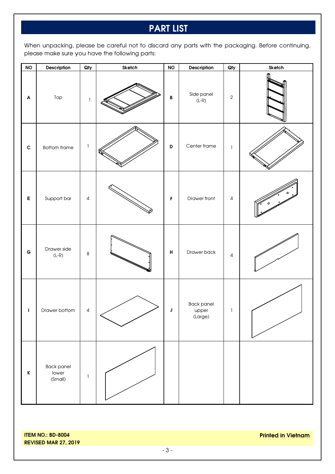## **PART LIST**

When unpacking, please be careful not to discard any parts with the packaging. Before continuing, please make sure you have the following parts:

| $\mathsf{NO}$ | Description                    | Qty                                   | Sketch | <b>NO</b>                 | Description                    | $Q$ ty       | Sketch |
|---------------|--------------------------------|---------------------------------------|--------|---------------------------|--------------------------------|--------------|--------|
| A             | Top                            | $\mathbbm{1}$                         |        | $\, {\bf B}$              | Side panel<br>$(L-R)$          | $\sqrt{2}$   |        |
| $\mathbf c$   | <b>Bottom frame</b>            | $\mathsf{l}$                          |        | D                         | Center frame                   | $\mathbf{1}$ |        |
| E             | Support bar                    | $\sqrt{4}$                            |        | F                         | Drawer front                   | $\sqrt{4}$   |        |
| $\mathbf G$   | Drawer side<br>$(L-R)$         | $\,8\,$                               |        | $\boldsymbol{\mathsf{H}}$ | Drawer back                    | $\sqrt{4}$   |        |
| L             | Drawer bottom                  | $\sqrt{4}$                            |        | J                         | Back panel<br>upper<br>(Large) | 1            |        |
| $\mathsf K$   | Back panel<br>lower<br>(Small) | $\begin{array}{c} \hline \end{array}$ |        |                           |                                |              |        |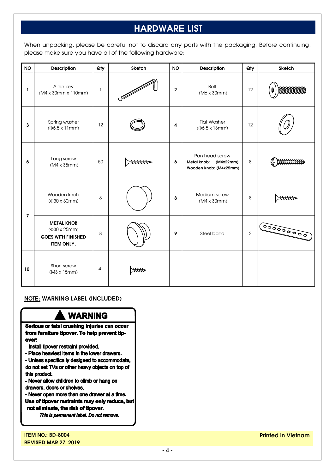# **HARDWARE LIST**

When unpacking, please be careful not to discard any parts with the packaging. Before continuing, please make sure you have all of the following hardware:

| <b>NO</b>      | <b>Description</b>                                                                  | Qty          | Sketch |                         | <b>NO</b><br>Description                                               |            | Sketch |
|----------------|-------------------------------------------------------------------------------------|--------------|--------|-------------------------|------------------------------------------------------------------------|------------|--------|
| L              | Allen key<br>(M4 x 30mm x 110mm)                                                    | $\mathbf{1}$ |        | $\mathbf{2}$            | <b>Bolt</b><br>(M6 x 30mm)                                             | 12         |        |
| $\mathbf{3}$   | Spring washer<br>$(46.5 \times 11)$ mm)                                             | 12           |        | $\overline{\mathbf{4}}$ | <b>Flat Washer</b><br>$(46.5 \times 13 \text{mm})$                     | 12         |        |
| 5              | Long screw<br>$(M4 \times 35$ mm $)$                                                | 50           | anno   | 6                       | Pan head screw<br>*Metal knob:<br>(M4x22mm)<br>*Wooden knob: (M4x25mm) | 8          | mmmmm  |
| $\overline{7}$ | Wooden knob<br>8<br>(Φ30 x 30mm)                                                    |              |        | 8                       | Medium screw<br>$(M4 \times 30$ mm $)$                                 | 8          |        |
|                | <b>METAL KNOB</b><br>(Φ30 x 25mm)<br><b>GOES WITH FINISHED</b><br><b>ITEM ONLY.</b> | 8            |        | 9                       | Steel band                                                             | $\sqrt{2}$ |        |
| 10             | Short screw<br>(M3 x 15mm)                                                          | 4            | mn     |                         |                                                                        |            |        |

#### **NOTE: WARNING LABEL (INCLUDED)**

#### A WARNING

Serious or fatal crushing injuries can occur from furniture tipover. To help prevent tipover:

- Install tipover restraint provided.
- Place heaviest items in the lower drawers.

- Unless specifically designed to accommodate, do not set TVs or other heavy objects on top of this product.

- Never allow children to climb or hang on drawers, doors or shelves.

- Never open more than one drawer at a time. Use of tipover restraints may only reduce, but not eliminate, the risk of tipover.

This is permanent label. Do not remove.

**ITEM NO.: BD-8004 REVISED MAR 27, 2019** **Printed in Vietnam**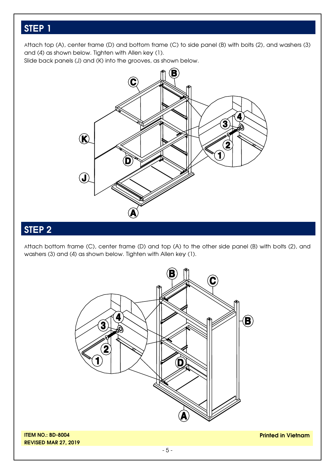### **STEP 1**

Attach top (A), center frame (D) and bottom frame (C) to side panel (B) with bolts (2), and washers (3) and (4) as shown below. Tighten with Allen key (1).

Slide back panels (J) and (K) into the grooves, as shown below.



# **STEP 2**

**REVISED MAR 27, 2019**

Attach bottom frame (C), center frame (D) and top (A) to the other side panel (B) with bolts (2), and washers (3) and (4) as shown below. Tighten with Allen key (1).



**Printed in Vietnam**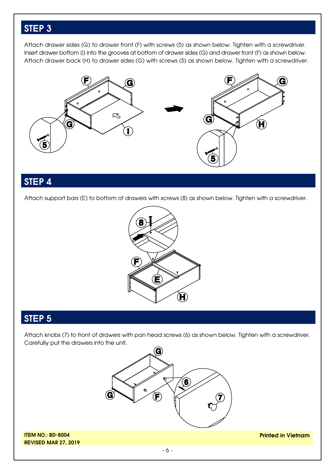### **STEP 3**

Attach drawer sides (G) to drawer front (F) with screws (5) as shown below. Tighten with a screwdriver. Insert drawer bottom (I) into the grooves at bottom of drawer sides (G) and drawer front (F) as shown below. Attach drawer back (H) to drawer sides (G) with screws (5) as shown below. Tighten with a screwdriver.



#### **STEP 4**

Attach support bars (E) to bottom of drawers with screws (8) as shown below. Tighten with a screwdriver.



#### **STEP 5**

Attach knobs (7) to front of drawers with pan head screws (6) as shown below. Tighten with a screwdriver. Carefully put the drawers into the unit.